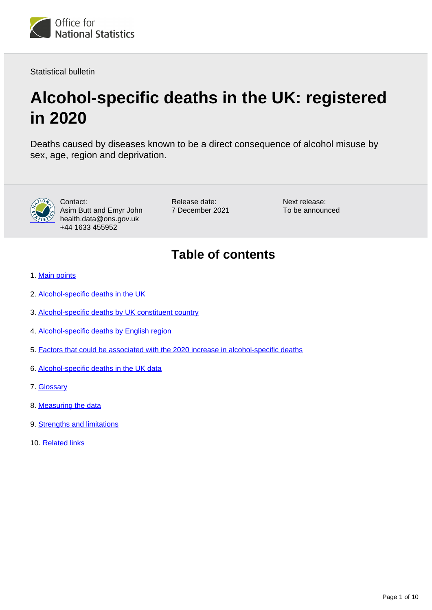

Statistical bulletin

# **Alcohol-specific deaths in the UK: registered in 2020**

Deaths caused by diseases known to be a direct consequence of alcohol misuse by sex, age, region and deprivation.



Contact: Asim Butt and Emyr John health.data@ons.gov.uk +44 1633 455952

Release date: 7 December 2021 Next release: To be announced

## **Table of contents**

- 1. [Main points](#page-1-0)
- 2. [Alcohol-specific deaths in the UK](#page-2-0)
- 3. [Alcohol-specific deaths by UK constituent country](#page-4-0)
- 4. [Alcohol-specific deaths by English region](#page-6-0)
- 5. [Factors that could be associated with the 2020 increase in alcohol-specific deaths](#page-7-0)
- 6. [Alcohol-specific deaths in the UK data](#page-7-1)
- 7. [Glossary](#page-7-2)
- 8. [Measuring the data](#page-8-0)
- 9. [Strengths and limitations](#page-9-0)
- 10. [Related links](#page-9-1)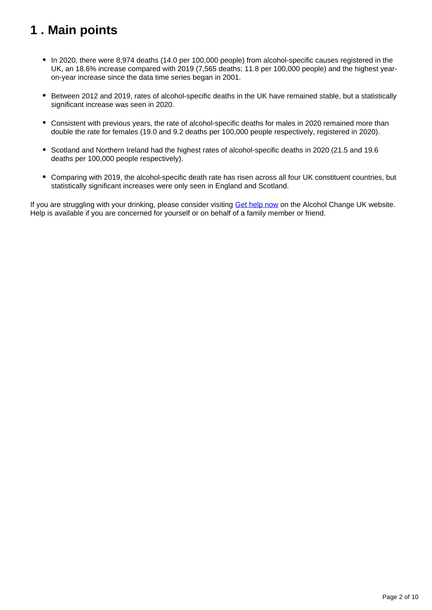## <span id="page-1-0"></span>**1 . Main points**

- In 2020, there were 8,974 deaths (14.0 per 100,000 people) from alcohol-specific causes registered in the UK, an 18.6% increase compared with 2019 (7,565 deaths; 11.8 per 100,000 people) and the highest yearon-year increase since the data time series began in 2001.
- Between 2012 and 2019, rates of alcohol-specific deaths in the UK have remained stable, but a statistically significant increase was seen in 2020.
- Consistent with previous years, the rate of alcohol-specific deaths for males in 2020 remained more than double the rate for females (19.0 and 9.2 deaths per 100,000 people respectively, registered in 2020).
- Scotland and Northern Ireland had the highest rates of alcohol-specific deaths in 2020 (21.5 and 19.6 deaths per 100,000 people respectively).
- Comparing with 2019, the alcohol-specific death rate has risen across all four UK constituent countries, but statistically significant increases were only seen in England and Scotland.

If you are struggling with your drinking, please consider visiting [Get help now](https://alcoholchange.org.uk/help-and-support/get-help-now) on the Alcohol Change UK website. Help is available if you are concerned for yourself or on behalf of a family member or friend.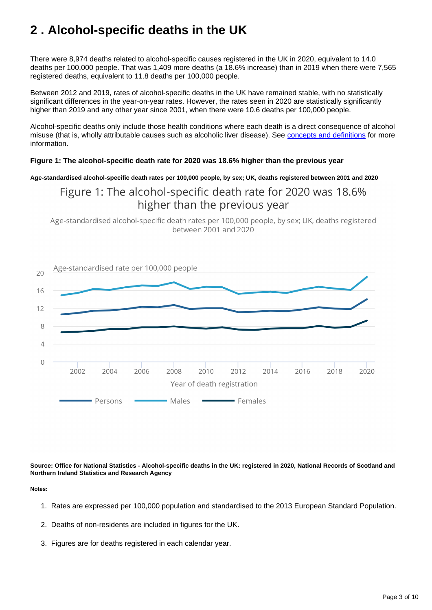## <span id="page-2-0"></span>**2 . Alcohol-specific deaths in the UK**

There were 8,974 deaths related to alcohol-specific causes registered in the UK in 2020, equivalent to 14.0 deaths per 100,000 people. That was 1,409 more deaths (a 18.6% increase) than in 2019 when there were 7,565 registered deaths, equivalent to 11.8 deaths per 100,000 people.

Between 2012 and 2019, rates of alcohol-specific deaths in the UK have remained stable, with no statistically significant differences in the year-on-year rates. However, the rates seen in 2020 are statistically significantly higher than 2019 and any other year since 2001, when there were 10.6 deaths per 100,000 people.

Alcohol-specific deaths only include those health conditions where each death is a direct consequence of alcohol misuse (that is, wholly attributable causes such as alcoholic liver disease). See [concepts and definitions](https://www.ons.gov.uk/peoplepopulationandcommunity/healthandsocialcare/causesofdeath/methodologies/alcoholrelateddeathsintheukqmi#concepts-and-definitions) for more information.

#### **Figure 1: The alcohol-specific death rate for 2020 was 18.6% higher than the previous year**

**Age-standardised alcohol-specific death rates per 100,000 people, by sex; UK, deaths registered between 2001 and 2020**

## Figure 1: The alcohol-specific death rate for 2020 was 18.6% higher than the previous year

Age-standardised alcohol-specific death rates per 100,000 people, by sex; UK, deaths registered between 2001 and 2020



**Source: Office for National Statistics - Alcohol-specific deaths in the UK: registered in 2020, National Records of Scotland and Northern Ireland Statistics and Research Agency**

**Notes:**

- 1. Rates are expressed per 100,000 population and standardised to the 2013 European Standard Population.
- 2. Deaths of non-residents are included in figures for the UK.
- 3. Figures are for deaths registered in each calendar year.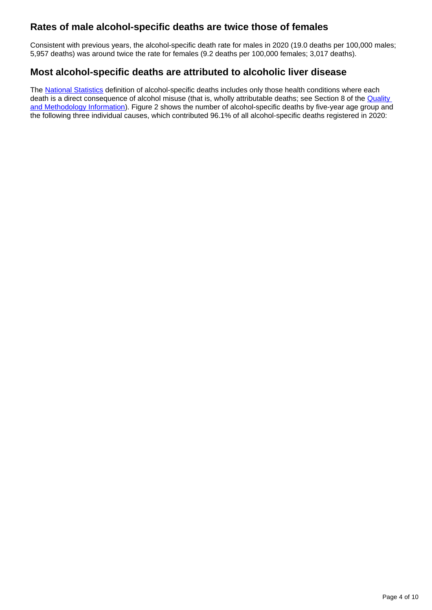### **Rates of male alcohol-specific deaths are twice those of females**

Consistent with previous years, the alcohol-specific death rate for males in 2020 (19.0 deaths per 100,000 males; 5,957 deaths) was around twice the rate for females (9.2 deaths per 100,000 females; 3,017 deaths).

### **Most alcohol-specific deaths are attributed to alcoholic liver disease**

The [National Statistics](https://uksa.statisticsauthority.gov.uk/list-of-national-statistics/) definition of alcohol-specific deaths includes only those health conditions where each death is a direct consequence of alcohol misuse (that is, wholly attributable deaths; see Section 8 of the **Quality** [and Methodology Information](https://www.ons.gov.uk/peoplepopulationandcommunity/healthandsocialcare/causesofdeath/methodologies/alcoholrelateddeathsintheukqmi#concepts-and-definitions)). Figure 2 shows the number of alcohol-specific deaths by five-year age group and the following three individual causes, which contributed 96.1% of all alcohol-specific deaths registered in 2020: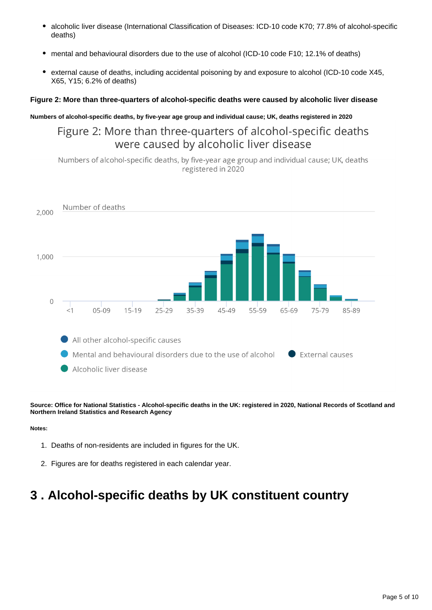- $\bullet$ alcoholic liver disease (International Classification of Diseases: ICD-10 code K70; 77.8% of alcohol-specific deaths)
- mental and behavioural disorders due to the use of alcohol (ICD-10 code F10; 12.1% of deaths)
- external cause of deaths, including accidental poisoning by and exposure to alcohol (ICD-10 code X45, X65, Y15; 6.2% of deaths)

#### **Figure 2: More than three-quarters of alcohol-specific deaths were caused by alcoholic liver disease**

#### **Numbers of alcohol-specific deaths, by five-year age group and individual cause; UK, deaths registered in 2020**

## Figure 2: More than three-quarters of alcohol-specific deaths were caused by alcoholic liver disease

Numbers of alcohol-specific deaths, by five-year age group and individual cause; UK, deaths registered in 2020



**Source: Office for National Statistics - Alcohol-specific deaths in the UK: registered in 2020, National Records of Scotland and Northern Ireland Statistics and Research Agency**

#### **Notes:**

- 1. Deaths of non-residents are included in figures for the UK.
- 2. Figures are for deaths registered in each calendar year.

## <span id="page-4-0"></span>**3 . Alcohol-specific deaths by UK constituent country**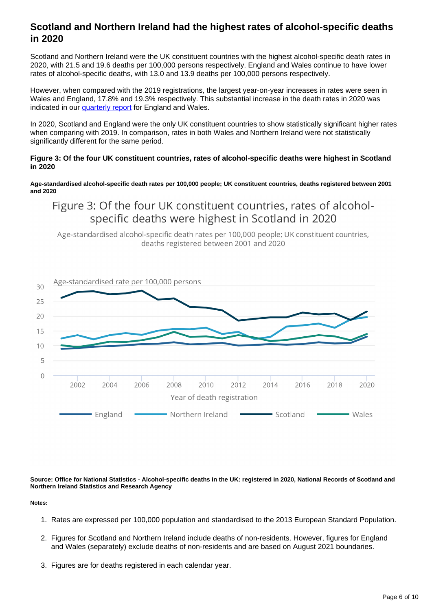### **Scotland and Northern Ireland had the highest rates of alcohol-specific deaths in 2020**

Scotland and Northern Ireland were the UK constituent countries with the highest alcohol-specific death rates in 2020, with 21.5 and 19.6 deaths per 100,000 persons respectively. England and Wales continue to have lower rates of alcohol-specific deaths, with 13.0 and 13.9 deaths per 100,000 persons respectively.

However, when compared with the 2019 registrations, the largest year-on-year increases in rates were seen in Wales and England, 17.8% and 19.3% respectively. This substantial increase in the death rates in 2020 was indicated in our **[quarterly report](https://www.ons.gov.uk/peoplepopulationandcommunity/birthsdeathsandmarriages/deaths/bulletins/quarterlyalcoholspecificdeathsinenglandandwales/2001to2019registrationsandquarter1jantomartoquarter4octtodec2020provisionalregistrations#main-points)** for England and Wales.

In 2020, Scotland and England were the only UK constituent countries to show statistically significant higher rates when comparing with 2019. In comparison, rates in both Wales and Northern Ireland were not statistically significantly different for the same period.

#### **Figure 3: Of the four UK constituent countries, rates of alcohol-specific deaths were highest in Scotland in 2020**

**Age-standardised alcohol-specific death rates per 100,000 people; UK constituent countries, deaths registered between 2001 and 2020**

Figure 3: Of the four UK constituent countries, rates of alcoholspecific deaths were highest in Scotland in 2020

Age-standardised alcohol-specific death rates per 100,000 people; UK constituent countries, deaths registered between 2001 and 2020



**Source: Office for National Statistics - Alcohol-specific deaths in the UK: registered in 2020, National Records of Scotland and Northern Ireland Statistics and Research Agency**

**Notes:**

- 1. Rates are expressed per 100,000 population and standardised to the 2013 European Standard Population.
- 2. Figures for Scotland and Northern Ireland include deaths of non-residents. However, figures for England and Wales (separately) exclude deaths of non-residents and are based on August 2021 boundaries.
- 3. Figures are for deaths registered in each calendar year.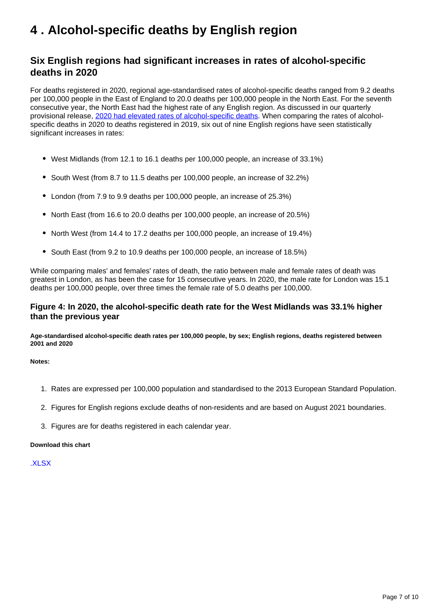## <span id="page-6-0"></span>**4 . Alcohol-specific deaths by English region**

### **Six English regions had significant increases in rates of alcohol-specific deaths in 2020**

For deaths registered in 2020, regional age-standardised rates of alcohol-specific deaths ranged from 9.2 deaths per 100,000 people in the East of England to 20.0 deaths per 100,000 people in the North East. For the seventh consecutive year, the North East had the highest rate of any English region. As discussed in our quarterly provisional release, [2020 had elevated rates of alcohol-specific deaths.](https://www.ons.gov.uk/peoplepopulationandcommunity/birthsdeathsandmarriages/deaths/bulletins/quarterlyalcoholspecificdeathsinenglandandwales/2001to2019registrationsandquarter1jantomartoquarter4octtodec2020provisionalregistrations#main-points) When comparing the rates of alcoholspecific deaths in 2020 to deaths registered in 2019, six out of nine English regions have seen statistically significant increases in rates:

- West Midlands (from 12.1 to 16.1 deaths per 100,000 people, an increase of 33.1%)
- South West (from 8.7 to 11.5 deaths per 100,000 people, an increase of 32.2%)
- London (from 7.9 to 9.9 deaths per 100,000 people, an increase of 25.3%)
- North East (from 16.6 to 20.0 deaths per 100,000 people, an increase of 20.5%)
- North West (from 14.4 to 17.2 deaths per 100,000 people, an increase of 19.4%)
- South East (from 9.2 to 10.9 deaths per 100,000 people, an increase of 18.5%)

While comparing males' and females' rates of death, the ratio between male and female rates of death was greatest in London, as has been the case for 15 consecutive years. In 2020, the male rate for London was 15.1 deaths per 100,000 people, over three times the female rate of 5.0 deaths per 100,000.

#### **Figure 4: In 2020, the alcohol-specific death rate for the West Midlands was 33.1% higher than the previous year**

**Age-standardised alcohol-specific death rates per 100,000 people, by sex; English regions, deaths registered between 2001 and 2020**

**Notes:**

- 1. Rates are expressed per 100,000 population and standardised to the 2013 European Standard Population.
- 2. Figures for English regions exclude deaths of non-residents and are based on August 2021 boundaries.
- 3. Figures are for deaths registered in each calendar year.

#### **Download this chart**

[.XLSX](https://www.ons.gov.uk/visualisations/dvc1702/deaths/datadownload.xlsx)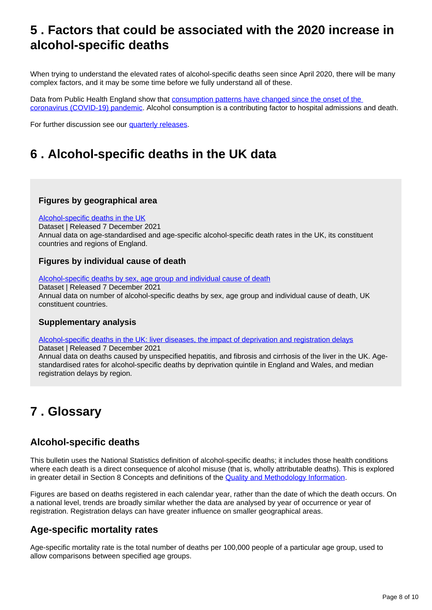## <span id="page-7-0"></span>**5 . Factors that could be associated with the 2020 increase in alcohol-specific deaths**

When trying to understand the elevated rates of alcohol-specific deaths seen since April 2020, there will be many complex factors, and it may be some time before we fully understand all of these.

Data from Public Health England show that consumption patterns have changed since the onset of the [coronavirus \(COVID-19\) pandemic.](https://analytics.phe.gov.uk/apps/covid-19-indirect-effects/) Alcohol consumption is a contributing factor to hospital admissions and death.

For further discussion see our [quarterly releases](https://www.ons.gov.uk/peoplepopulationandcommunity/birthsdeathsandmarriages/deaths/bulletins/quarterlyalcoholspecificdeathsinenglandandwales/previousReleases).

## <span id="page-7-1"></span>**6 . Alcohol-specific deaths in the UK data**

#### **Figures by geographical area**

#### [Alcohol-specific deaths in the UK](https://www.ons.gov.uk/peoplepopulationandcommunity/healthandsocialcare/causesofdeath/datasets/alcoholspecificdeathsintheukmaindataset)

Dataset | Released 7 December 2021 Annual data on age-standardised and age-specific alcohol-specific death rates in the UK, its constituent countries and regions of England.

#### **Figures by individual cause of death**

[Alcohol-specific deaths by sex, age group and individual cause of death](https://www.ons.gov.uk/peoplepopulationandcommunity/healthandsocialcare/causesofdeath/datasets/alcoholspecificdeathsbysexagegroupandindividualcauseofdeath) Dataset | Released 7 December 2021 Annual data on number of alcohol-specific deaths by sex, age group and individual cause of death, UK constituent countries.

#### **Supplementary analysis**

[Alcohol-specific deaths in the UK: liver diseases, the impact of deprivation and registration delays](https://www.ons.gov.uk/peoplepopulationandcommunity/healthandsocialcare/causesofdeath/datasets/alcoholspecificdeathsintheunitedkingdomsupplementarydatatables)

Dataset | Released 7 December 2021 Annual data on deaths caused by unspecified hepatitis, and fibrosis and cirrhosis of the liver in the UK. Agestandardised rates for alcohol-specific deaths by deprivation quintile in England and Wales, and median registration delays by region.

## <span id="page-7-2"></span>**7 . Glossary**

### **Alcohol-specific deaths**

This bulletin uses the National Statistics definition of alcohol-specific deaths; it includes those health conditions where each death is a direct consequence of alcohol misuse (that is, wholly attributable deaths). This is explored in greater detail in Section 8 Concepts and definitions of the **Quality and Methodology Information**.

Figures are based on deaths registered in each calendar year, rather than the date of which the death occurs. On a national level, trends are broadly similar whether the data are analysed by year of occurrence or year of registration. Registration delays can have greater influence on smaller geographical areas.

### **Age-specific mortality rates**

Age-specific mortality rate is the total number of deaths per 100,000 people of a particular age group, used to allow comparisons between specified age groups.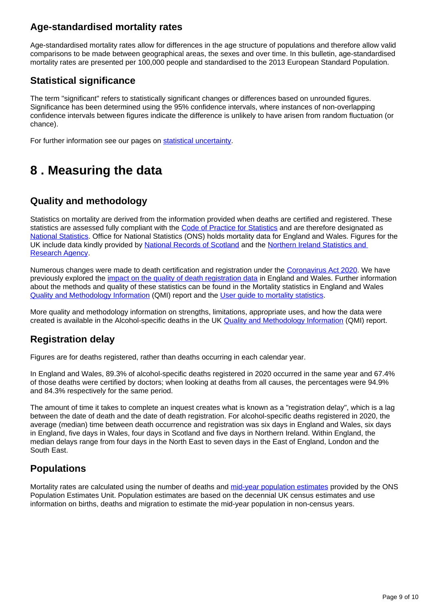## **Age-standardised mortality rates**

Age-standardised mortality rates allow for differences in the age structure of populations and therefore allow valid comparisons to be made between geographical areas, the sexes and over time. In this bulletin, age-standardised mortality rates are presented per 100,000 people and standardised to the 2013 European Standard Population.

## **Statistical significance**

The term "significant" refers to statistically significant changes or differences based on unrounded figures. Significance has been determined using the 95% confidence intervals, where instances of non-overlapping confidence intervals between figures indicate the difference is unlikely to have arisen from random fluctuation (or chance).

For further information see our pages on [statistical uncertainty.](https://www.ons.gov.uk/methodology/methodologytopicsandstatisticalconcepts/uncertaintyandhowwemeasureit)

## <span id="page-8-0"></span>**8 . Measuring the data**

## **Quality and methodology**

Statistics on mortality are derived from the information provided when deaths are certified and registered. These statistics are assessed fully compliant with the [Code of Practice for Statistics](https://code.statisticsauthority.gov.uk/) and are therefore designated as [National Statistics.](https://uksa.statisticsauthority.gov.uk/list-of-national-statistics/) Office for National Statistics (ONS) holds mortality data for England and Wales. Figures for the UK include data kindly provided by [National Records of Scotland](https://www.nrscotland.gov.uk/statistics-and-data/statistics/statistics-by-theme/vital-events/deaths/alcohol-deaths) and the Northern Ireland Statistics and [Research Agency](https://www.nisra.gov.uk/statistics/cause-death/alcohol-deaths).

Numerous changes were made to death certification and registration under the [Coronavirus Act 2020](https://www.legislation.gov.uk/ukpga/2020/7/contents/enacted/data.htm). We have previously explored the [impact on the quality of death registration data](https://www.ons.gov.uk/peoplepopulationandcommunity/birthsdeathsandmarriages/deaths/articles/qualityofmortalitydataduringthecoronaviruspandemicenglandandwales/2020) in England and Wales. Further information about the methods and quality of these statistics can be found in the Mortality statistics in England and Wales [Quality and Methodology Information](https://www.ons.gov.uk/peoplepopulationandcommunity/birthsdeathsandmarriages/deaths/methodologies/mortalitystatisticsinenglandandwalesqmi) (QMI) report and the [User guide to mortality statistics.](https://www.ons.gov.uk/peoplepopulationandcommunity/birthsdeathsandmarriages/deaths/methodologies/userguidetomortalitystatisticsjuly2017)

More quality and methodology information on strengths, limitations, appropriate uses, and how the data were created is available in the Alcohol-specific deaths in the UK [Quality and Methodology Information](https://www.ons.gov.uk/peoplepopulationandcommunity/healthandsocialcare/causesofdeath/methodologies/alcoholrelateddeathsintheukqmi) (QMI) report.

### **Registration delay**

Figures are for deaths registered, rather than deaths occurring in each calendar year.

In England and Wales, 89.3% of alcohol-specific deaths registered in 2020 occurred in the same year and 67.4% of those deaths were certified by doctors; when looking at deaths from all causes, the percentages were 94.9% and 84.3% respectively for the same period.

The amount of time it takes to complete an inquest creates what is known as a "registration delay", which is a lag between the date of death and the date of death registration. For alcohol-specific deaths registered in 2020, the average (median) time between death occurrence and registration was six days in England and Wales, six days in England, five days in Wales, four days in Scotland and five days in Northern Ireland. Within England, the median delays range from four days in the North East to seven days in the East of England, London and the South East.

## **Populations**

Mortality rates are calculated using the number of deaths and [mid-year population estimates](https://www.ons.gov.uk/peoplepopulationandcommunity/populationandmigration/populationestimates) provided by the ONS Population Estimates Unit. Population estimates are based on the decennial UK census estimates and use information on births, deaths and migration to estimate the mid-year population in non-census years.